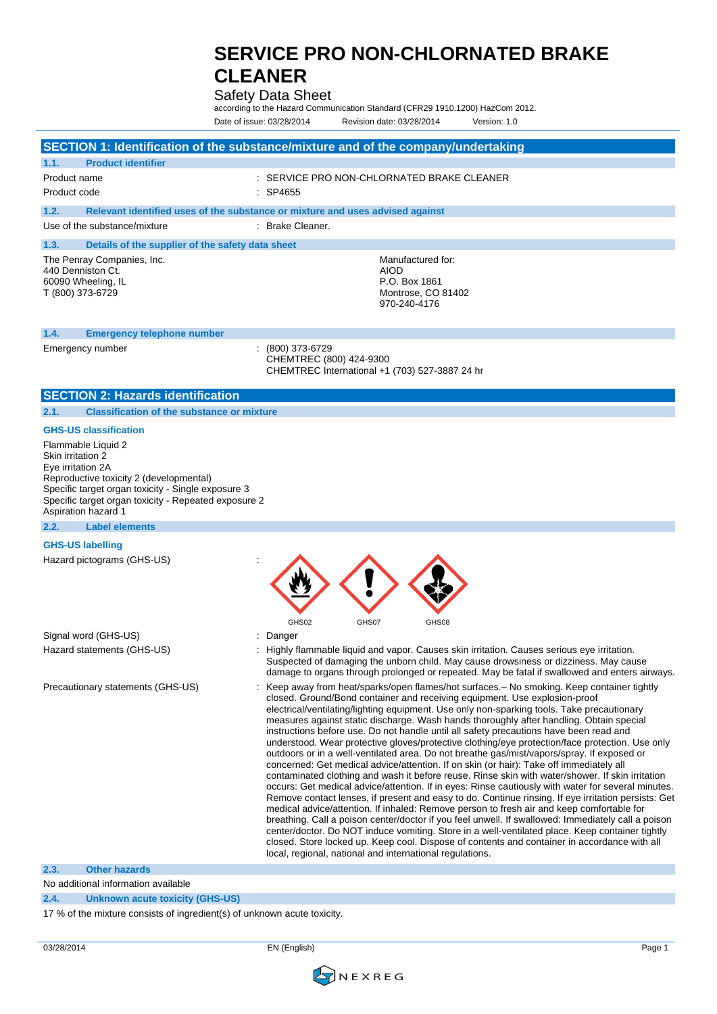### Safety Data Sheet

according to the Hazard Communication Standard (CFR29 1910.1200) HazCom 2012. Date of issue: 03/28/2014 Revision date: 03/28/2014 Version: 1.0

#### **SECTION 1: Identification of the substance/mixture and of the company/undertaking 1.1. Product identifier** Product name  $\qquad \qquad : \qquad$  SERVICE PRO NON-CHLORNATED BRAKE CLEANER Product code : SP4655 **1.2. Relevant identified uses of the substance or mixture and uses advised against** Use of the substance/mixture : Brake Cleaner. **1.3. Details of the supplier of the safety data sheet** The Penray Companies, Inc. 440 Denniston Ct. 60090 Wheeling, IL T (800) 373-6729 Manufactured for: AIOD P.O. Box 1861 Montrose, CO 81402 970-240-4176 **1.4. Emergency telephone number** Emergency number : (800) 373-6729 CHEMTREC (800) 424-9300 CHEMTREC International +1 (703) 527-3887 24 hr **SECTION 2: Hazards identification 2.1. Classification of the substance or mixture GHS-US classification** Flammable Liquid 2 Skin irritation 2 Eye irritation 2A Reproductive toxicity 2 (developmental) Specific target organ toxicity - Single exposure 3 Specific target organ toxicity - Repeated exposure 2 Aspiration hazard 1 **2.2. Label elements GHS-US labelling** Hazard pictograms (GHS-US) : GHS02 GHS07 GHS08 Signal word (GHS-US) **in the state of the Signal word** (GHS-US) Hazard statements (GHS-US) : Highly flammable liquid and vapor. Causes skin irritation. Causes serious eye irritation. Suspected of damaging the unborn child. May cause drowsiness or dizziness. May cause damage to organs through prolonged or repeated. May be fatal if swallowed and enters airways. Precautionary statements (GHS-US) : Keep away from heat/sparks/open flames/hot surfaces. - No smoking. Keep container tightly closed. Ground/Bond container and receiving equipment. Use explosion-proof electrical/ventilating/lighting equipment. Use only non-sparking tools. Take precautionary measures against static discharge. Wash hands thoroughly after handling. Obtain special instructions before use. Do not handle until all safety precautions have been read and understood. Wear protective gloves/protective clothing/eye protection/face protection. Use only outdoors or in a well-ventilated area. Do not breathe gas/mist/vapors/spray. If exposed or concerned: Get medical advice/attention. If on skin (or hair): Take off immediately all contaminated clothing and wash it before reuse. Rinse skin with water/shower. If skin irritation occurs: Get medical advice/attention. If in eyes: Rinse cautiously with water for several minutes. Remove contact lenses, if present and easy to do. Continue rinsing. If eye irritation persists: Get medical advice/attention. If inhaled: Remove person to fresh air and keep comfortable for breathing. Call a poison center/doctor if you feel unwell. If swallowed: Immediately call a poison center/doctor. Do NOT induce vomiting. Store in a well-ventilated place. Keep container tightly closed. Store locked up. Keep cool. Dispose of contents and container in accordance with all local, regional, national and international regulations. **2.3. Other hazards** No additional information available

**2.4. Unknown acute toxicity (GHS-US)**

17 % of the mixture consists of ingredient(s) of unknown acute toxicity.

03/28/2014 EN (English) Page 1

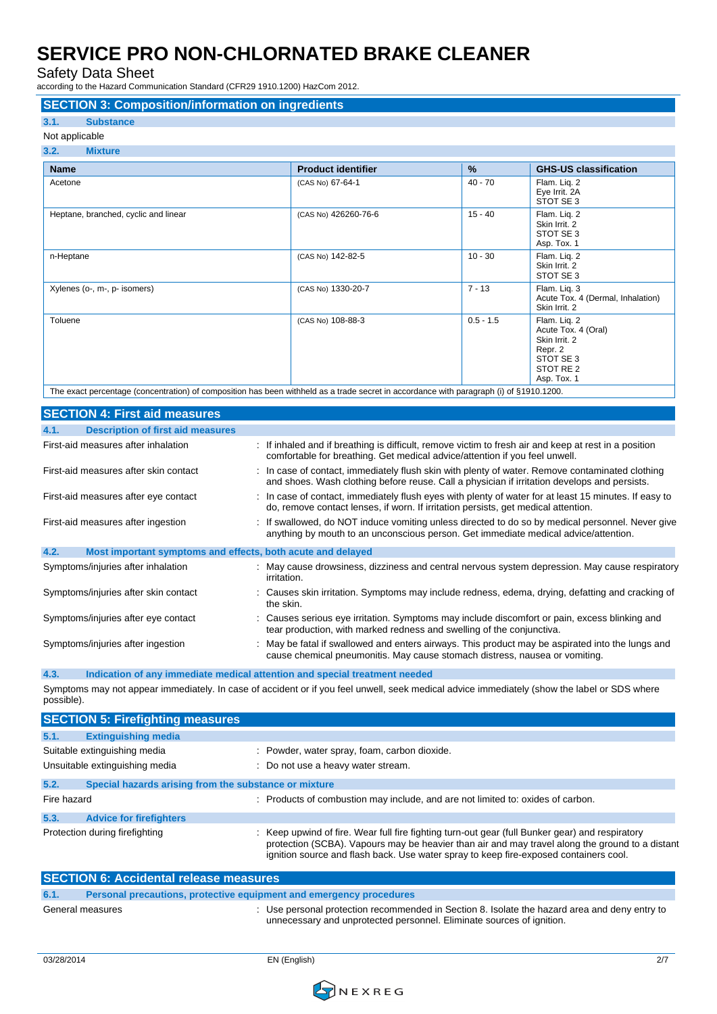Safety Data Sheet

according to the Hazard Communication Standard (CFR29 1910.1200) HazCom 2012.

#### **SECTION 3: Composition/information on ingredients**

### **3.1. Substance**

Not applicable

| 3.2.<br><b>Mixture</b>                                                                                                                                                                                                                    |                           |                                                                                                                                                                                                                                                                                                                                                                                                                                                   |                                                                                                                     |
|-------------------------------------------------------------------------------------------------------------------------------------------------------------------------------------------------------------------------------------------|---------------------------|---------------------------------------------------------------------------------------------------------------------------------------------------------------------------------------------------------------------------------------------------------------------------------------------------------------------------------------------------------------------------------------------------------------------------------------------------|---------------------------------------------------------------------------------------------------------------------|
| <b>Name</b>                                                                                                                                                                                                                               | <b>Product identifier</b> | $\frac{9}{6}$                                                                                                                                                                                                                                                                                                                                                                                                                                     | <b>GHS-US classification</b>                                                                                        |
| Acetone                                                                                                                                                                                                                                   | (CAS No) 67-64-1          | $40 - 70$                                                                                                                                                                                                                                                                                                                                                                                                                                         | Flam. Lig. 2<br>Eye Irrit. 2A<br>STOT SE 3                                                                          |
| Heptane, branched, cyclic and linear                                                                                                                                                                                                      | (CAS No) 426260-76-6      | $15 - 40$                                                                                                                                                                                                                                                                                                                                                                                                                                         | Flam. Lig. 2<br>Skin Irrit. 2<br>STOT SE 3<br>Asp. Tox. 1                                                           |
| n-Heptane                                                                                                                                                                                                                                 | (CAS No) 142-82-5         | $10 - 30$                                                                                                                                                                                                                                                                                                                                                                                                                                         | Flam. Liq. 2<br>Skin Irrit. 2<br>STOT SE 3                                                                          |
| Xylenes (o-, m-, p- isomers)                                                                                                                                                                                                              | (CAS No) 1330-20-7        | $7 - 13$                                                                                                                                                                                                                                                                                                                                                                                                                                          | Flam. Liq. 3<br>Acute Tox. 4 (Dermal, Inhalation)<br>Skin Irrit. 2                                                  |
| Toluene<br>$\pm$ . The contract of the contract of the contract of the contract of the contract of the contract of the contract of the contract of the contract of the contract of the contract of the contract of the contract of the co | (CAS No) 108-88-3         | $0.5 - 1.5$<br>$\left  \right $ $\left  \right $ $\left  \right $ $\left  \right $ $\left  \right $ $\left  \right $ $\left  \right $ $\left  \right $ $\left  \right $ $\left  \right $ $\left  \right $ $\left  \right $ $\left  \right $ $\left  \right $ $\left  \right $ $\left  \right $ $\left  \right $ $\left  \right $ $\left  \right $ $\left  \right $ $\left  \right $ $\left  \right $ $\left  \right $ $\left  \right $ $\left  \$ | Flam. Lig. 2<br>Acute Tox. 4 (Oral)<br>Skin Irrit. 2<br>Repr. 2<br>STOT SE 3<br>STOT RE <sub>2</sub><br>Asp. Tox. 1 |

The exact percentage (concentration) of composition has been withheld as a trade secret in accordance with paragraph (i) of §1910.1200.

| <b>SECTION 4: First aid measures</b>                                |                                                                                                                                                                                                 |
|---------------------------------------------------------------------|-------------------------------------------------------------------------------------------------------------------------------------------------------------------------------------------------|
| <b>Description of first aid measures</b><br>4.1.                    |                                                                                                                                                                                                 |
| First-aid measures after inhalation                                 | : If inhaled and if breathing is difficult, remove victim to fresh air and keep at rest in a position<br>comfortable for breathing. Get medical advice/attention if you feel unwell.            |
| First-aid measures after skin contact                               | : In case of contact, immediately flush skin with plenty of water. Remove contaminated clothing<br>and shoes. Wash clothing before reuse. Call a physician if irritation develops and persists. |
| First-aid measures after eye contact                                | : In case of contact, immediately flush eyes with plenty of water for at least 15 minutes. If easy to<br>do, remove contact lenses, if worn. If irritation persists, get medical attention.     |
| First-aid measures after ingestion                                  | : If swallowed, do NOT induce vomiting unless directed to do so by medical personnel. Never give<br>anything by mouth to an unconscious person. Get immediate medical advice/attention.         |
| 4.2.<br>Most important symptoms and effects, both acute and delayed |                                                                                                                                                                                                 |
| Symptoms/injuries after inhalation                                  | : May cause drowsiness, dizziness and central nervous system depression. May cause respiratory<br>irritation.                                                                                   |
| Symptoms/injuries after skin contact                                | : Causes skin irritation. Symptoms may include redness, edema, drying, defatting and cracking of<br>the skin.                                                                                   |
| Symptoms/injuries after eye contact                                 | : Causes serious eye irritation. Symptoms may include discomfort or pain, excess blinking and<br>tear production, with marked redness and swelling of the conjunctiva.                          |
| Symptoms/injuries after ingestion                                   | May be fatal if swallowed and enters airways. This product may be aspirated into the lungs and<br>cause chemical pneumonitis. May cause stomach distress, nausea or vomiting.                   |

#### **4.3. Indication of any immediate medical attention and special treatment needed**

Symptoms may not appear immediately. In case of accident or if you feel unwell, seek medical advice immediately (show the label or SDS where possible).

|             | <b>SECTION 5: Firefighting measures</b>               |                                                                                                                                                                                                                                                                                             |
|-------------|-------------------------------------------------------|---------------------------------------------------------------------------------------------------------------------------------------------------------------------------------------------------------------------------------------------------------------------------------------------|
| 5.1.        | <b>Extinguishing media</b>                            |                                                                                                                                                                                                                                                                                             |
|             | Suitable extinguishing media                          | : Powder, water spray, foam, carbon dioxide.                                                                                                                                                                                                                                                |
|             | Unsuitable extinguishing media                        | : Do not use a heavy water stream.                                                                                                                                                                                                                                                          |
| 5.2.        | Special hazards arising from the substance or mixture |                                                                                                                                                                                                                                                                                             |
| Fire hazard |                                                       | : Products of combustion may include, and are not limited to: oxides of carbon.                                                                                                                                                                                                             |
| 5.3.        | <b>Advice for firefighters</b>                        |                                                                                                                                                                                                                                                                                             |
|             | Protection during firefighting                        | : Keep upwind of fire. Wear full fire fighting turn-out gear (full Bunker gear) and respiratory<br>protection (SCBA). Vapours may be heavier than air and may travel along the ground to a distant<br>ignition source and flash back. Use water spray to keep fire-exposed containers cool. |

| <b>SECTION 6: Accidental release measures</b> |                                                                     |                                                                                                                                                                      |
|-----------------------------------------------|---------------------------------------------------------------------|----------------------------------------------------------------------------------------------------------------------------------------------------------------------|
| 6.1.                                          | Personal precautions, protective equipment and emergency procedures |                                                                                                                                                                      |
|                                               | General measures                                                    | Use personal protection recommended in Section 8. Isolate the hazard area and deny entry to<br>unnecessary and unprotected personnel. Eliminate sources of ignition. |

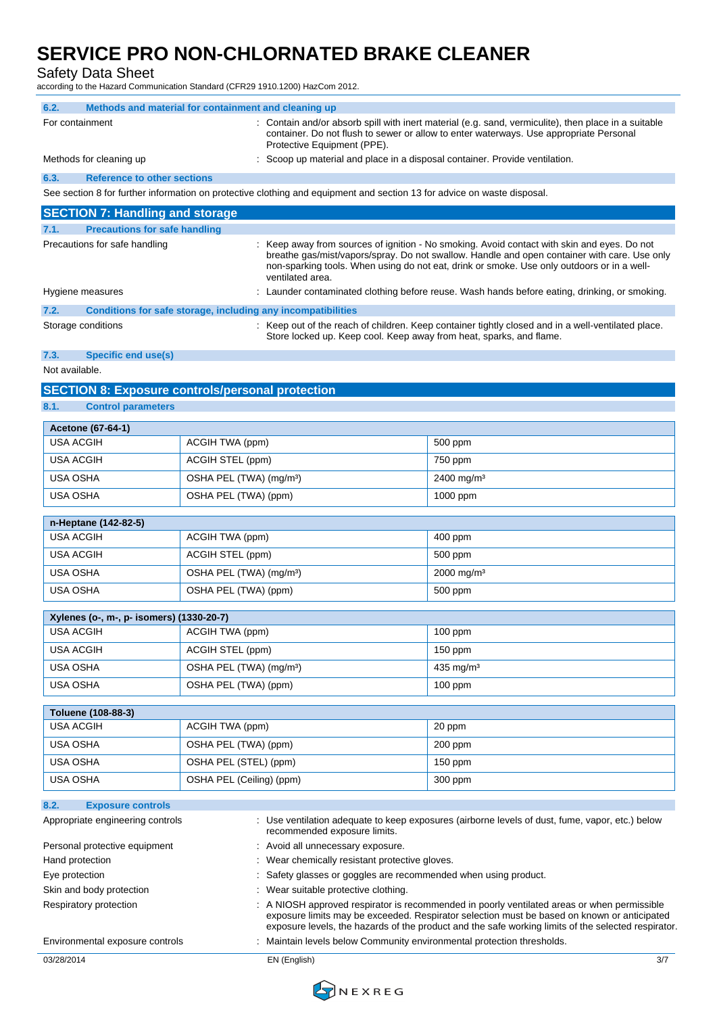### Safety Data Sheet

according to the Hazard Communication Standard (CFR29 1910.1200) HazCom 2012.

| 6.2.                                                                                                                                                                                                                                             | Methods and material for containment and cleaning up                                                                                                                                                                                                                                                          |                                                                                                                         |  |
|--------------------------------------------------------------------------------------------------------------------------------------------------------------------------------------------------------------------------------------------------|---------------------------------------------------------------------------------------------------------------------------------------------------------------------------------------------------------------------------------------------------------------------------------------------------------------|-------------------------------------------------------------------------------------------------------------------------|--|
| For containment<br>: Contain and/or absorb spill with inert material (e.g. sand, vermiculite), then place in a suitable<br>container. Do not flush to sewer or allow to enter waterways. Use appropriate Personal<br>Protective Equipment (PPE). |                                                                                                                                                                                                                                                                                                               |                                                                                                                         |  |
| Methods for cleaning up                                                                                                                                                                                                                          | Scoop up material and place in a disposal container. Provide ventilation.                                                                                                                                                                                                                                     |                                                                                                                         |  |
| 6.3.<br><b>Reference to other sections</b>                                                                                                                                                                                                       |                                                                                                                                                                                                                                                                                                               |                                                                                                                         |  |
|                                                                                                                                                                                                                                                  |                                                                                                                                                                                                                                                                                                               | See section 8 for further information on protective clothing and equipment and section 13 for advice on waste disposal. |  |
| <b>SECTION 7: Handling and storage</b>                                                                                                                                                                                                           |                                                                                                                                                                                                                                                                                                               |                                                                                                                         |  |
| 7.1.<br><b>Precautions for safe handling</b>                                                                                                                                                                                                     |                                                                                                                                                                                                                                                                                                               |                                                                                                                         |  |
| Precautions for safe handling                                                                                                                                                                                                                    | : Keep away from sources of ignition - No smoking. Avoid contact with skin and eyes. Do not<br>breathe gas/mist/vapors/spray. Do not swallow. Handle and open container with care. Use only<br>non-sparking tools. When using do not eat, drink or smoke. Use only outdoors or in a well-<br>ventilated area. |                                                                                                                         |  |
| Hygiene measures                                                                                                                                                                                                                                 |                                                                                                                                                                                                                                                                                                               | : Launder contaminated clothing before reuse. Wash hands before eating, drinking, or smoking.                           |  |
| 7.2.<br>Storage conditions                                                                                                                                                                                                                       | Conditions for safe storage, including any incompatibilities                                                                                                                                                                                                                                                  | : Keep out of the reach of children. Keep container tightly closed and in a well-ventilated place.                      |  |
|                                                                                                                                                                                                                                                  |                                                                                                                                                                                                                                                                                                               | Store locked up. Keep cool. Keep away from heat, sparks, and flame.                                                     |  |
| <b>Specific end use(s)</b><br>7.3.                                                                                                                                                                                                               |                                                                                                                                                                                                                                                                                                               |                                                                                                                         |  |
| Not available.                                                                                                                                                                                                                                   |                                                                                                                                                                                                                                                                                                               |                                                                                                                         |  |
|                                                                                                                                                                                                                                                  | <b>SECTION 8: Exposure controls/personal protection</b>                                                                                                                                                                                                                                                       |                                                                                                                         |  |
| 8.1.<br><b>Control parameters</b>                                                                                                                                                                                                                |                                                                                                                                                                                                                                                                                                               |                                                                                                                         |  |
| <b>Acetone (67-64-1)</b>                                                                                                                                                                                                                         |                                                                                                                                                                                                                                                                                                               |                                                                                                                         |  |
| <b>USA ACGIH</b>                                                                                                                                                                                                                                 | ACGIH TWA (ppm)                                                                                                                                                                                                                                                                                               | 500 ppm                                                                                                                 |  |
| <b>USA ACGIH</b>                                                                                                                                                                                                                                 | ACGIH STEL (ppm)                                                                                                                                                                                                                                                                                              | 750 ppm                                                                                                                 |  |
| <b>USA OSHA</b>                                                                                                                                                                                                                                  | OSHA PEL (TWA) (mg/m <sup>3</sup> )                                                                                                                                                                                                                                                                           | 2400 mg/m <sup>3</sup>                                                                                                  |  |
| USA OSHA                                                                                                                                                                                                                                         | OSHA PEL (TWA) (ppm)                                                                                                                                                                                                                                                                                          | $1000$ ppm                                                                                                              |  |
| n-Heptane (142-82-5)                                                                                                                                                                                                                             |                                                                                                                                                                                                                                                                                                               |                                                                                                                         |  |
| <b>USA ACGIH</b>                                                                                                                                                                                                                                 | ACGIH TWA (ppm)                                                                                                                                                                                                                                                                                               | 400 ppm                                                                                                                 |  |
| <b>USA ACGIH</b>                                                                                                                                                                                                                                 | ACGIH STEL (ppm)                                                                                                                                                                                                                                                                                              | 500 ppm                                                                                                                 |  |
| USA OSHA                                                                                                                                                                                                                                         | OSHA PEL (TWA) (mg/m <sup>3</sup> )                                                                                                                                                                                                                                                                           | $2000$ mg/m <sup>3</sup>                                                                                                |  |
| USA OSHA                                                                                                                                                                                                                                         | OSHA PEL (TWA) (ppm)<br>500 ppm                                                                                                                                                                                                                                                                               |                                                                                                                         |  |
|                                                                                                                                                                                                                                                  |                                                                                                                                                                                                                                                                                                               |                                                                                                                         |  |
| Xylenes (o-, m-, p- isomers) (1330-20-7)<br><b>USA ACGIH</b>                                                                                                                                                                                     | ACGIH TWA (ppm)                                                                                                                                                                                                                                                                                               | $100$ ppm                                                                                                               |  |
| <b>USA ACGIH</b>                                                                                                                                                                                                                                 | <b>ACGIH STEL (ppm)</b>                                                                                                                                                                                                                                                                                       | 150 ppm                                                                                                                 |  |
| <b>USA OSHA</b>                                                                                                                                                                                                                                  | OSHA PEL (TWA) (mg/m <sup>3</sup> )                                                                                                                                                                                                                                                                           | 435 mg/m <sup>3</sup>                                                                                                   |  |
| <b>USA OSHA</b>                                                                                                                                                                                                                                  | OSHA PEL (TWA) (ppm)                                                                                                                                                                                                                                                                                          | $100$ ppm                                                                                                               |  |
|                                                                                                                                                                                                                                                  |                                                                                                                                                                                                                                                                                                               |                                                                                                                         |  |
| Toluene (108-88-3)                                                                                                                                                                                                                               |                                                                                                                                                                                                                                                                                                               |                                                                                                                         |  |
| <b>USA ACGIH</b>                                                                                                                                                                                                                                 | ACGIH TWA (ppm)                                                                                                                                                                                                                                                                                               | 20 ppm                                                                                                                  |  |
| <b>USA OSHA</b>                                                                                                                                                                                                                                  | OSHA PEL (TWA) (ppm)                                                                                                                                                                                                                                                                                          | 200 ppm                                                                                                                 |  |
| <b>USA OSHA</b>                                                                                                                                                                                                                                  | OSHA PEL (STEL) (ppm)                                                                                                                                                                                                                                                                                         | 150 ppm                                                                                                                 |  |
| <b>USA OSHA</b>                                                                                                                                                                                                                                  | OSHA PEL (Ceiling) (ppm)                                                                                                                                                                                                                                                                                      | 300 ppm                                                                                                                 |  |
| 8.2.<br><b>Exposure controls</b>                                                                                                                                                                                                                 |                                                                                                                                                                                                                                                                                                               |                                                                                                                         |  |
| : Use ventilation adequate to keep exposures (airborne levels of dust, fume, vapor, etc.) below<br>Appropriate engineering controls<br>recommended exposure limits.                                                                              |                                                                                                                                                                                                                                                                                                               |                                                                                                                         |  |
| : Avoid all unnecessary exposure.<br>Personal protective equipment                                                                                                                                                                               |                                                                                                                                                                                                                                                                                                               |                                                                                                                         |  |
| Hand protection                                                                                                                                                                                                                                  | : Wear chemically resistant protective gloves.                                                                                                                                                                                                                                                                |                                                                                                                         |  |
|                                                                                                                                                                                                                                                  | Eye protection<br>Safety glasses or goggles are recommended when using product.                                                                                                                                                                                                                               |                                                                                                                         |  |
| Skin and body protection<br>Respiratory protection                                                                                                                                                                                               | Wear suitable protective clothing.                                                                                                                                                                                                                                                                            | : A NIOSH approved respirator is recommended in poorly ventilated areas or when permissible                             |  |
| exposure limits may be exceeded. Respirator selection must be based on known or anticipated<br>exposure levels, the hazards of the product and the safe working limits of the selected respirator.                                               |                                                                                                                                                                                                                                                                                                               |                                                                                                                         |  |
|                                                                                                                                                                                                                                                  | : Maintain levels below Community environmental protection thresholds.<br>Environmental exposure controls                                                                                                                                                                                                     |                                                                                                                         |  |
| 03/28/2014                                                                                                                                                                                                                                       | EN (English)                                                                                                                                                                                                                                                                                                  | 3/7                                                                                                                     |  |

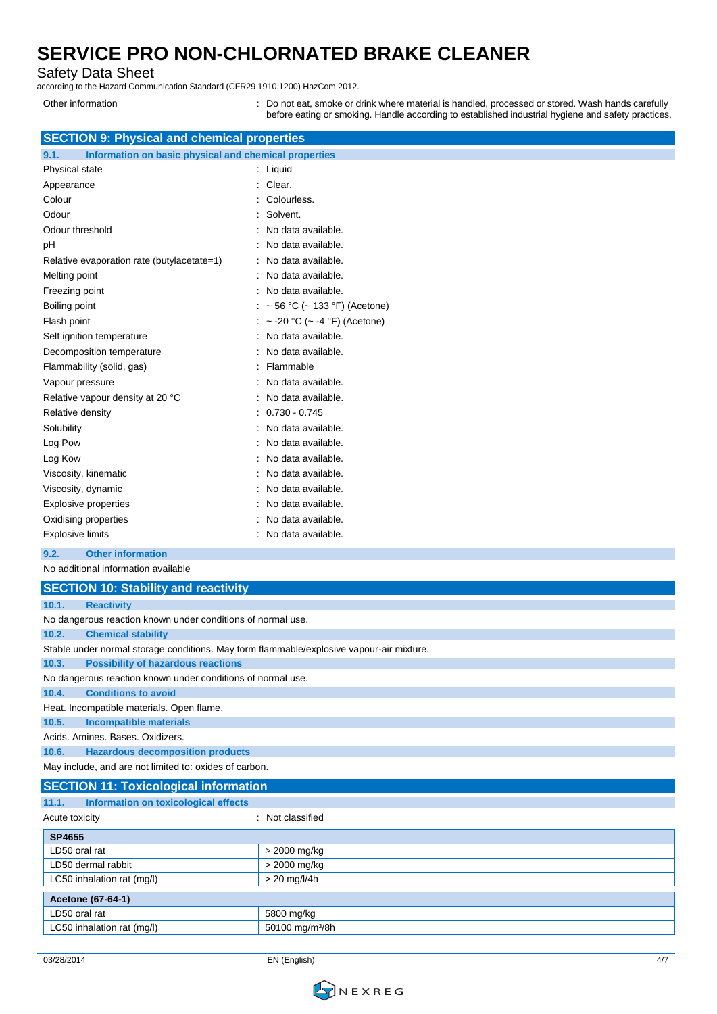Safety Data Sheet

according to the Hazard Communication Standard (CFR29 1910.1200) HazCom 2012.

Other information **come content** : Do not eat, smoke or drink where material is handled, processed or stored. Wash hands carefully before eating or smoking. Handle according to established industrial hygiene and safety practices.

| <b>SECTION 9: Physical and chemical properties</b>            |                                |  |
|---------------------------------------------------------------|--------------------------------|--|
| 9.1.<br>Information on basic physical and chemical properties |                                |  |
| Physical state                                                | : Liquid                       |  |
| Appearance                                                    | Clear.                         |  |
| Colour                                                        | Colourless.                    |  |
| Odour                                                         | Solvent.                       |  |
| Odour threshold                                               | No data available.             |  |
| рH                                                            | No data available.             |  |
| Relative evaporation rate (butylacetate=1)                    | No data available.             |  |
| Melting point                                                 | No data available.             |  |
| Freezing point                                                | No data available.<br>۰.       |  |
| Boiling point                                                 | ~ 56 °C (~ 133 °F) (Acetone)   |  |
| Flash point                                                   | : ~ -20 °C (~ -4 °F) (Acetone) |  |
| Self ignition temperature                                     | : No data available.           |  |
| Decomposition temperature                                     | No data available.             |  |
| Flammability (solid, gas)                                     | Flammable                      |  |
| Vapour pressure                                               | No data available.             |  |
| Relative vapour density at 20 °C                              | No data available.             |  |
| Relative density                                              | $0.730 - 0.745$                |  |
| Solubility                                                    | No data available.             |  |
| Log Pow                                                       | No data available.             |  |
| Log Kow                                                       | No data available.             |  |
| Viscosity, kinematic                                          | No data available.             |  |
| Viscosity, dynamic                                            | No data available.             |  |
| <b>Explosive properties</b>                                   | No data available.             |  |
| Oxidising properties                                          | No data available.             |  |
| <b>Explosive limits</b>                                       | : No data available.           |  |
|                                                               |                                |  |

#### **9.2. Other information**

No additional information available

| <b>SECTION 10: Stability and reactivity</b>                                              |  |  |
|------------------------------------------------------------------------------------------|--|--|
| 10.1.<br><b>Reactivity</b>                                                               |  |  |
| No dangerous reaction known under conditions of normal use.                              |  |  |
| <b>Chemical stability</b><br>10.2.                                                       |  |  |
| Stable under normal storage conditions. May form flammable/explosive vapour-air mixture. |  |  |
| <b>Possibility of hazardous reactions</b><br>10.3.                                       |  |  |
| No dangerous reaction known under conditions of normal use.                              |  |  |
| <b>Conditions to avoid</b><br>10.4.                                                      |  |  |
| Heat. Incompatible materials. Open flame.                                                |  |  |
| 10.5.<br>Incompatible materials                                                          |  |  |
| Acids, Amines, Bases, Oxidizers,                                                         |  |  |
| <b>Hazardous decomposition products</b><br>10.6.                                         |  |  |
| May include, and are not limited to: oxides of carbon.                                   |  |  |

| <b>SECTION 11: Toxicological information</b>  |                             |  |
|-----------------------------------------------|-----------------------------|--|
| Information on toxicological effects<br>11.1. |                             |  |
| Acute toxicity                                | : Not classified            |  |
| <b>SP4655</b>                                 |                             |  |
| LD50 oral rat                                 | > 2000 mg/kg                |  |
| LD50 dermal rabbit                            | > 2000 mg/kg                |  |
| LC50 inhalation rat (mg/l)                    | $> 20$ mg/l/4h              |  |
| <b>Acetone (67-64-1)</b>                      |                             |  |
| LD50 oral rat                                 | 5800 mg/kg                  |  |
| LC50 inhalation rat (mg/l)                    | 50100 mg/m <sup>3</sup> /8h |  |

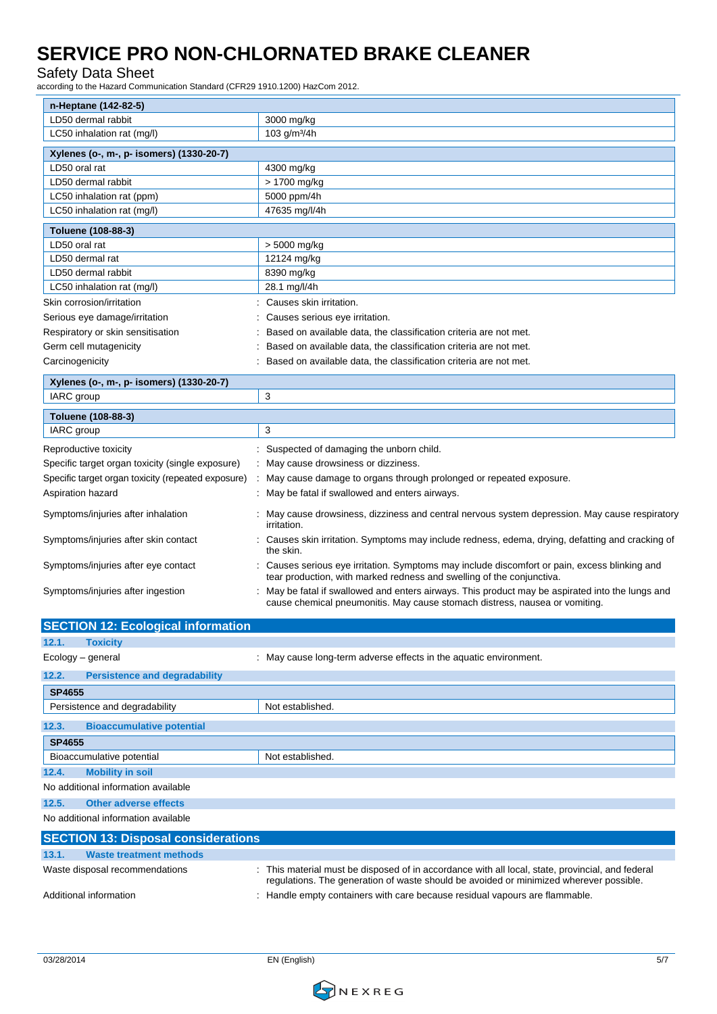### Safety Data Sheet

according to the Hazard Communication Standard (CFR29 1910.1200) HazCom 2012.

| n-Heptane (142-82-5)                               |                                                                                                                                                                        |
|----------------------------------------------------|------------------------------------------------------------------------------------------------------------------------------------------------------------------------|
| LD50 dermal rabbit                                 | 3000 mg/kg                                                                                                                                                             |
| LC50 inhalation rat (mg/l)                         | 103 g/m <sup>3</sup> /4h                                                                                                                                               |
| Xylenes (o-, m-, p- isomers) (1330-20-7)           |                                                                                                                                                                        |
| LD50 oral rat                                      | 4300 mg/kg                                                                                                                                                             |
| LD50 dermal rabbit                                 | > 1700 mg/kg                                                                                                                                                           |
| LC50 inhalation rat (ppm)                          | 5000 ppm/4h                                                                                                                                                            |
| LC50 inhalation rat (mg/l)                         | 47635 mg/l/4h                                                                                                                                                          |
| Toluene (108-88-3)                                 |                                                                                                                                                                        |
| LD50 oral rat                                      | $> 5000$ mg/kg                                                                                                                                                         |
| LD50 dermal rat                                    | 12124 mg/kg                                                                                                                                                            |
| LD50 dermal rabbit                                 | 8390 mg/kg                                                                                                                                                             |
| LC50 inhalation rat (mg/l)                         | 28.1 mg/l/4h                                                                                                                                                           |
| Skin corrosion/irritation                          | : Causes skin irritation.                                                                                                                                              |
| Serious eye damage/irritation                      | Causes serious eye irritation.                                                                                                                                         |
| Respiratory or skin sensitisation                  | Based on available data, the classification criteria are not met.                                                                                                      |
| Germ cell mutagenicity                             | Based on available data, the classification criteria are not met.                                                                                                      |
| Carcinogenicity                                    | : Based on available data, the classification criteria are not met.                                                                                                    |
| Xylenes (o-, m-, p- isomers) (1330-20-7)           |                                                                                                                                                                        |
| IARC group                                         | 3                                                                                                                                                                      |
| Toluene (108-88-3)                                 |                                                                                                                                                                        |
| IARC group                                         | 3                                                                                                                                                                      |
| Reproductive toxicity                              | : Suspected of damaging the unborn child.                                                                                                                              |
| Specific target organ toxicity (single exposure)   | : May cause drowsiness or dizziness.                                                                                                                                   |
| Specific target organ toxicity (repeated exposure) | May cause damage to organs through prolonged or repeated exposure.                                                                                                     |
| Aspiration hazard                                  | : May be fatal if swallowed and enters airways.                                                                                                                        |
| Symptoms/injuries after inhalation                 | : May cause drowsiness, dizziness and central nervous system depression. May cause respiratory<br>irritation.                                                          |
| Symptoms/injuries after skin contact               | : Causes skin irritation. Symptoms may include redness, edema, drying, defatting and cracking of<br>the skin.                                                          |
| Symptoms/injuries after eye contact                | : Causes serious eye irritation. Symptoms may include discomfort or pain, excess blinking and<br>tear production, with marked redness and swelling of the conjunctiva. |
| Symptoms/injuries after ingestion                  | : May be fatal if swallowed and enters airways. This product may be aspirated into the lungs and                                                                       |

| <b>SECTION 12: Ecological information</b>     |                                                                                                                                                                                            |
|-----------------------------------------------|--------------------------------------------------------------------------------------------------------------------------------------------------------------------------------------------|
| 12.1.<br><b>Toxicity</b>                      |                                                                                                                                                                                            |
| Ecology – general                             | : May cause long-term adverse effects in the aquatic environment.                                                                                                                          |
| 12.2.<br><b>Persistence and degradability</b> |                                                                                                                                                                                            |
| <b>SP4655</b>                                 |                                                                                                                                                                                            |
| Persistence and degradability                 | Not established.                                                                                                                                                                           |
| 12.3.<br><b>Bioaccumulative potential</b>     |                                                                                                                                                                                            |
| <b>SP4655</b>                                 |                                                                                                                                                                                            |
| Bioaccumulative potential                     | Not established.                                                                                                                                                                           |
| 12.4.<br><b>Mobility in soil</b>              |                                                                                                                                                                                            |
| No additional information available           |                                                                                                                                                                                            |
| <b>Other adverse effects</b><br>12.5.         |                                                                                                                                                                                            |
| No additional information available           |                                                                                                                                                                                            |
| <b>SECTION 13: Disposal considerations</b>    |                                                                                                                                                                                            |
| <b>Waste treatment methods</b><br>13.1.       |                                                                                                                                                                                            |
| Waste disposal recommendations                | : This material must be disposed of in accordance with all local, state, provincial, and federal<br>regulations. The generation of waste should be avoided or minimized wherever possible. |
| Additional information                        | Handle empty containers with care because residual vapours are flammable.                                                                                                                  |

cause chemical pneumonitis. May cause stomach distress, nausea or vomiting.

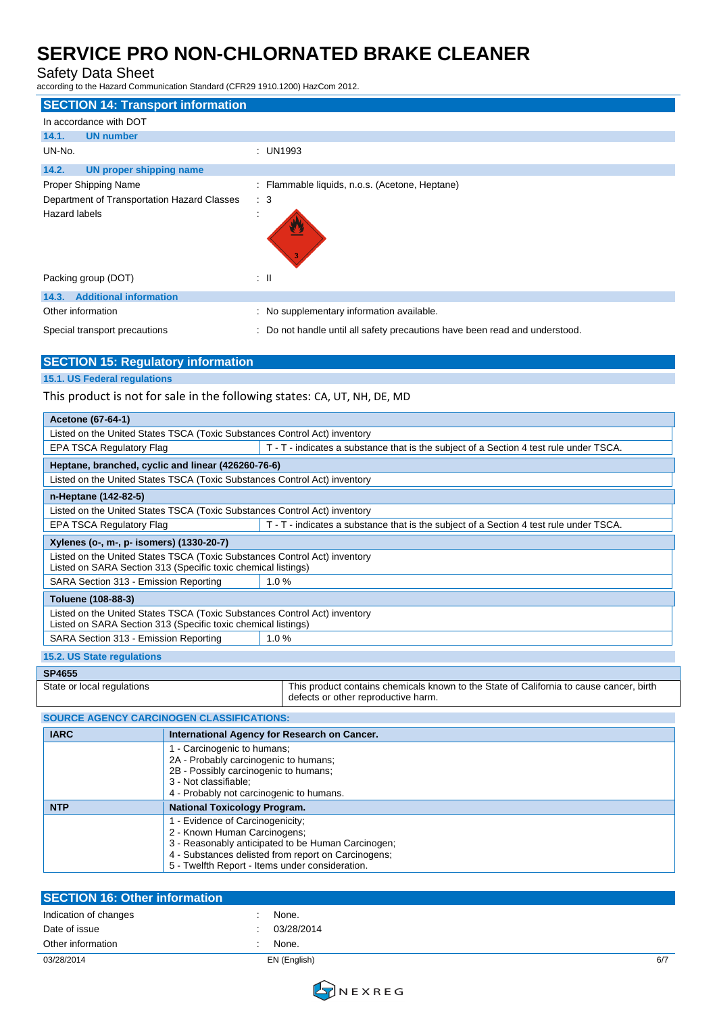### Safety Data Sheet

according to the Hazard Communication Standard (CFR29 1910.1200) HazCom 2012.

| <b>SECTION 14: Transport information</b>    |                                                                             |
|---------------------------------------------|-----------------------------------------------------------------------------|
| In accordance with DOT                      |                                                                             |
| 14.1.<br><b>UN number</b>                   |                                                                             |
| UN-No.                                      | : UN1993                                                                    |
| 14.2.<br><b>UN proper shipping name</b>     |                                                                             |
| Proper Shipping Name                        | : Flammable liquids, n.o.s. (Acetone, Heptane)                              |
| Department of Transportation Hazard Classes | $\therefore$ 3                                                              |
| Hazard labels                               |                                                                             |
| Packing group (DOT)                         | ÷Ш                                                                          |
| 14.3. Additional information                |                                                                             |
| Other information                           | : No supplementary information available.                                   |
| Special transport precautions               | : Do not handle until all safety precautions have been read and understood. |

| <b>SECTION 15: Regulatory information</b> |  |
|-------------------------------------------|--|
| <b>15.1. US Federal regulations</b>       |  |

This product is not for sale in the following states: CA, UT, NH, DE, MD

| Acetone (67-64-1)                                                                                                                          |                                                                                                                                |  |  |  |
|--------------------------------------------------------------------------------------------------------------------------------------------|--------------------------------------------------------------------------------------------------------------------------------|--|--|--|
| Listed on the United States TSCA (Toxic Substances Control Act) inventory                                                                  |                                                                                                                                |  |  |  |
| <b>EPA TSCA Regulatory Flag</b>                                                                                                            | T - T - indicates a substance that is the subject of a Section 4 test rule under TSCA.                                         |  |  |  |
| Heptane, branched, cyclic and linear (426260-76-6)                                                                                         |                                                                                                                                |  |  |  |
| Listed on the United States TSCA (Toxic Substances Control Act) inventory                                                                  |                                                                                                                                |  |  |  |
| n-Heptane (142-82-5)                                                                                                                       |                                                                                                                                |  |  |  |
| Listed on the United States TSCA (Toxic Substances Control Act) inventory                                                                  |                                                                                                                                |  |  |  |
| <b>EPA TSCA Regulatory Flag</b>                                                                                                            | T - T - indicates a substance that is the subject of a Section 4 test rule under TSCA.                                         |  |  |  |
| Xylenes (o-, m-, p- isomers) (1330-20-7)                                                                                                   |                                                                                                                                |  |  |  |
| Listed on the United States TSCA (Toxic Substances Control Act) inventory<br>Listed on SARA Section 313 (Specific toxic chemical listings) |                                                                                                                                |  |  |  |
| SARA Section 313 - Emission Reporting                                                                                                      | 1.0%                                                                                                                           |  |  |  |
| Toluene (108-88-3)                                                                                                                         |                                                                                                                                |  |  |  |
| Listed on the United States TSCA (Toxic Substances Control Act) inventory<br>Listed on SARA Section 313 (Specific toxic chemical listings) |                                                                                                                                |  |  |  |
| SARA Section 313 - Emission Reporting                                                                                                      | 1.0%                                                                                                                           |  |  |  |
| <b>15.2. US State regulations</b>                                                                                                          |                                                                                                                                |  |  |  |
| <b>SP4655</b>                                                                                                                              |                                                                                                                                |  |  |  |
| State or local regulations                                                                                                                 | This product contains chemicals known to the State of California to cause cancer, birth<br>defects or other reproductive harm. |  |  |  |

| <b>SOURCE AGENCY CARCINOGEN CLASSIFICATIONS:</b> |                                                                                                                                                                                                                                |  |
|--------------------------------------------------|--------------------------------------------------------------------------------------------------------------------------------------------------------------------------------------------------------------------------------|--|
| <b>IARC</b>                                      | International Agency for Research on Cancer.                                                                                                                                                                                   |  |
|                                                  | - Carcinogenic to humans;<br>2A - Probably carcinogenic to humans;<br>2B - Possibly carcinogenic to humans;<br>3 - Not classifiable;<br>4 - Probably not carcinogenic to humans.                                               |  |
| <b>NTP</b>                                       | <b>National Toxicology Program.</b>                                                                                                                                                                                            |  |
|                                                  | - Evidence of Carcinogenicity;<br>2 - Known Human Carcinogens;<br>3 - Reasonably anticipated to be Human Carcinogen;<br>4 - Substances delisted from report on Carcinogens;<br>5 - Twelfth Report - Items under consideration. |  |

| <b>SECTION 16: Other information</b> |              |     |
|--------------------------------------|--------------|-----|
| Indication of changes                | None.        |     |
| Date of issue                        | 03/28/2014   |     |
| Other information                    | None.        |     |
| 03/28/2014                           | EN (English) | 6/7 |